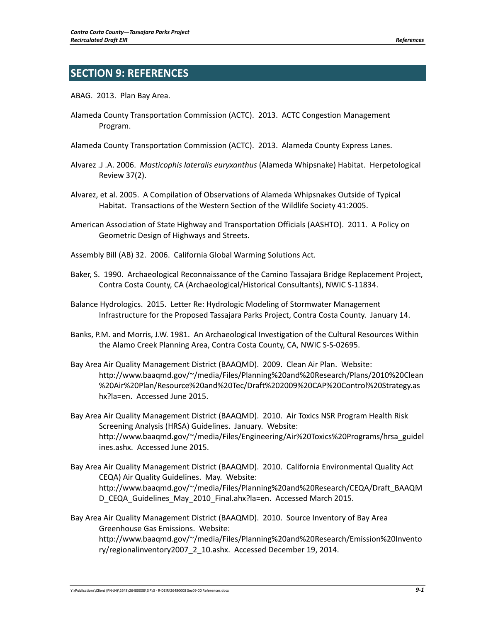## **SECTION 9: REFERENCES**

ABAG. 2013. Plan Bay Area.

- Alameda County Transportation Commission (ACTC). 2013. ACTC Congestion Management Program.
- Alameda County Transportation Commission (ACTC). 2013. Alameda County Express Lanes.
- Alvarez .J .A. 2006. *Masticophis lateralis euryxanthus* (Alameda Whipsnake) Habitat. Herpetological Review 37(2).
- Alvarez, et al. 2005. A Compilation of Observations of Alameda Whipsnakes Outside of Typical Habitat. Transactions of the Western Section of the Wildlife Society 41:2005.
- American Association of State Highway and Transportation Officials (AASHTO). 2011. A Policy on Geometric Design of Highways and Streets.

Assembly Bill (AB) 32. 2006. California Global Warming Solutions Act.

- Baker, S. 1990. Archaeological Reconnaissance of the Camino Tassajara Bridge Replacement Project, Contra Costa County, CA (Archaeological/Historical Consultants), NWIC S‐11834.
- Balance Hydrologics. 2015. Letter Re: Hydrologic Modeling of Stormwater Management Infrastructure for the Proposed Tassajara Parks Project, Contra Costa County. January 14.
- Banks, P.M. and Morris, J.W. 1981. An Archaeological Investigation of the Cultural Resources Within the Alamo Creek Planning Area, Contra Costa County, CA, NWIC S‐S‐02695.
- Bay Area Air Quality Management District (BAAQMD). 2009. Clean Air Plan. Website: http://www.baaqmd.gov/~/media/Files/Planning%20and%20Research/Plans/2010%20Clean %20Air%20Plan/Resource%20and%20Tec/Draft%202009%20CAP%20Control%20Strategy.as hx?la=en. Accessed June 2015.
- Bay Area Air Quality Management District (BAAQMD). 2010. Air Toxics NSR Program Health Risk Screening Analysis (HRSA) Guidelines. January. Website: http://www.baaqmd.gov/~/media/Files/Engineering/Air%20Toxics%20Programs/hrsa\_guidel ines.ashx. Accessed June 2015.
- Bay Area Air Quality Management District (BAAQMD). 2010. California Environmental Quality Act CEQA) Air Quality Guidelines. May. Website: http://www.baaqmd.gov/~/media/Files/Planning%20and%20Research/CEQA/Draft\_BAAQM D\_CEQA\_Guidelines\_May\_2010\_Final.ahx?la=en. Accessed March 2015.
- Bay Area Air Quality Management District (BAAQMD). 2010. Source Inventory of Bay Area Greenhouse Gas Emissions. Website: http://www.baaqmd.gov/~/media/Files/Planning%20and%20Research/Emission%20Invento ry/regionalinventory2007\_2\_10.ashx. Accessed December 19, 2014.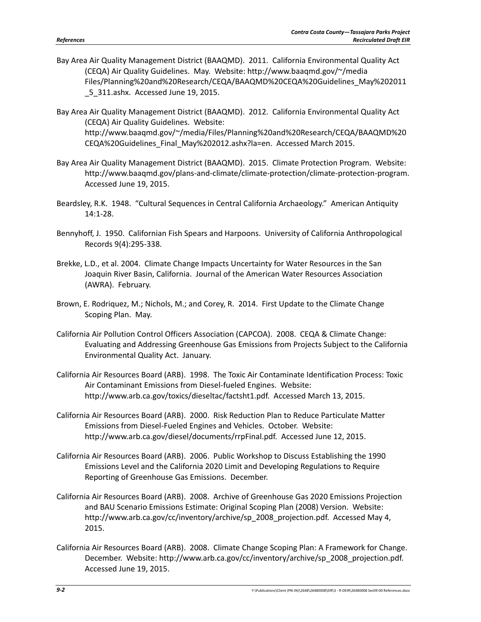- Bay Area Air Quality Management District (BAAQMD). 2011. California Environmental Quality Act (CEQA) Air Quality Guidelines. May. Website: http://www.baaqmd.gov/~/media Files/Planning%20and%20Research/CEQA/BAAQMD%20CEQA%20Guidelines\_May%202011 \_5\_311.ashx. Accessed June 19, 2015.
- Bay Area Air Quality Management District (BAAQMD). 2012. California Environmental Quality Act (CEQA) Air Quality Guidelines. Website: http://www.baaqmd.gov/~/media/Files/Planning%20and%20Research/CEQA/BAAQMD%20 CEQA%20Guidelines\_Final\_May%202012.ashx?la=en. Accessed March 2015.
- Bay Area Air Quality Management District (BAAQMD). 2015. Climate Protection Program. Website: http://www.baaqmd.gov/plans‐and‐climate/climate‐protection/climate‐protection‐program. Accessed June 19, 2015.
- Beardsley, R.K. 1948. "Cultural Sequences in Central California Archaeology." American Antiquity 14:1‐28.
- Bennyhoff, J. 1950. Californian Fish Spears and Harpoons. University of California Anthropological Records 9(4):295‐338.
- Brekke, L.D., et al. 2004. Climate Change Impacts Uncertainty for Water Resources in the San Joaquin River Basin, California. Journal of the American Water Resources Association (AWRA). February.
- Brown, E. Rodriquez, M.; Nichols, M.; and Corey, R. 2014. First Update to the Climate Change Scoping Plan. May.
- California Air Pollution Control Officers Association (CAPCOA). 2008. CEQA & Climate Change: Evaluating and Addressing Greenhouse Gas Emissions from Projects Subject to the California Environmental Quality Act. January.
- California Air Resources Board (ARB). 1998. The Toxic Air Contaminate Identification Process: Toxic Air Contaminant Emissions from Diesel-fueled Engines. Website: http://www.arb.ca.gov/toxics/dieseltac/factsht1.pdf. Accessed March 13, 2015.
- California Air Resources Board (ARB). 2000. Risk Reduction Plan to Reduce Particulate Matter Emissions from Diesel‐Fueled Engines and Vehicles. October. Website: http://www.arb.ca.gov/diesel/documents/rrpFinal.pdf. Accessed June 12, 2015.
- California Air Resources Board (ARB). 2006. Public Workshop to Discuss Establishing the 1990 Emissions Level and the California 2020 Limit and Developing Regulations to Require Reporting of Greenhouse Gas Emissions. December.
- California Air Resources Board (ARB). 2008. Archive of Greenhouse Gas 2020 Emissions Projection and BAU Scenario Emissions Estimate: Original Scoping Plan (2008) Version. Website: http://www.arb.ca.gov/cc/inventory/archive/sp\_2008\_projection.pdf. Accessed May 4, 2015.
- California Air Resources Board (ARB). 2008. Climate Change Scoping Plan: A Framework for Change. December. Website: http://www.arb.ca.gov/cc/inventory/archive/sp\_2008\_projection.pdf. Accessed June 19, 2015.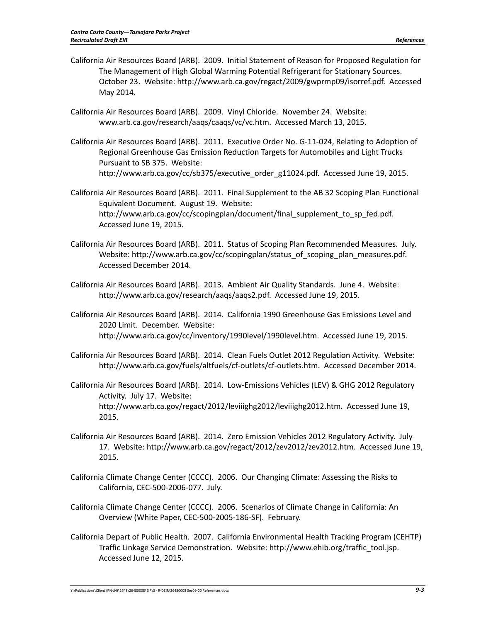- California Air Resources Board (ARB). 2009. Initial Statement of Reason for Proposed Regulation for The Management of High Global Warming Potential Refrigerant for Stationary Sources. October 23. Website: http://www.arb.ca.gov/regact/2009/gwprmp09/isorref.pdf. Accessed May 2014.
- California Air Resources Board (ARB). 2009. Vinyl Chloride. November 24. Website: www.arb.ca.gov/research/aaqs/caaqs/vc/vc.htm. Accessed March 13, 2015.
- California Air Resources Board (ARB). 2011. Executive Order No. G‐11‐024, Relating to Adoption of Regional Greenhouse Gas Emission Reduction Targets for Automobiles and Light Trucks Pursuant to SB 375. Website: http://www.arb.ca.gov/cc/sb375/executive\_order\_g11024.pdf. Accessed June 19, 2015.
- California Air Resources Board (ARB). 2011. Final Supplement to the AB 32 Scoping Plan Functional Equivalent Document. August 19. Website: http://www.arb.ca.gov/cc/scopingplan/document/final\_supplement\_to\_sp\_fed.pdf. Accessed June 19, 2015.
- California Air Resources Board (ARB). 2011. Status of Scoping Plan Recommended Measures. July. Website: http://www.arb.ca.gov/cc/scopingplan/status\_of\_scoping\_plan\_measures.pdf. Accessed December 2014.
- California Air Resources Board (ARB). 2013. Ambient Air Quality Standards. June 4. Website: http://www.arb.ca.gov/research/aaqs/aaqs2.pdf. Accessed June 19, 2015.
- California Air Resources Board (ARB). 2014. California 1990 Greenhouse Gas Emissions Level and 2020 Limit. December. Website: http://www.arb.ca.gov/cc/inventory/1990level/1990level.htm. Accessed June 19, 2015.
- California Air Resources Board (ARB). 2014. Clean Fuels Outlet 2012 Regulation Activity. Website: http://www.arb.ca.gov/fuels/altfuels/cf‐outlets/cf‐outlets.htm. Accessed December 2014.
- California Air Resources Board (ARB). 2014. Low‐Emissions Vehicles (LEV) & GHG 2012 Regulatory Activity. July 17. Website: http://www.arb.ca.gov/regact/2012/leviiighg2012/leviiighg2012.htm. Accessed June 19, 2015.
- California Air Resources Board (ARB). 2014. Zero Emission Vehicles 2012 Regulatory Activity. July 17. Website: http://www.arb.ca.gov/regact/2012/zev2012/zev2012.htm. Accessed June 19, 2015.
- California Climate Change Center (CCCC). 2006. Our Changing Climate: Assessing the Risks to California, CEC‐500‐2006‐077. July.
- California Climate Change Center (CCCC). 2006. Scenarios of Climate Change in California: An Overview (White Paper, CEC‐500‐2005‐186‐SF). February.
- California Depart of Public Health. 2007. California Environmental Health Tracking Program (CEHTP) Traffic Linkage Service Demonstration. Website: http://www.ehib.org/traffic\_tool.jsp. Accessed June 12, 2015.

Y:\Publications\Client (PN‐JN)\2648\26480008\EIR\3 ‐ R‐DEIR\26480008 Sec09‐<sup>00</sup> References.docx *9‐3*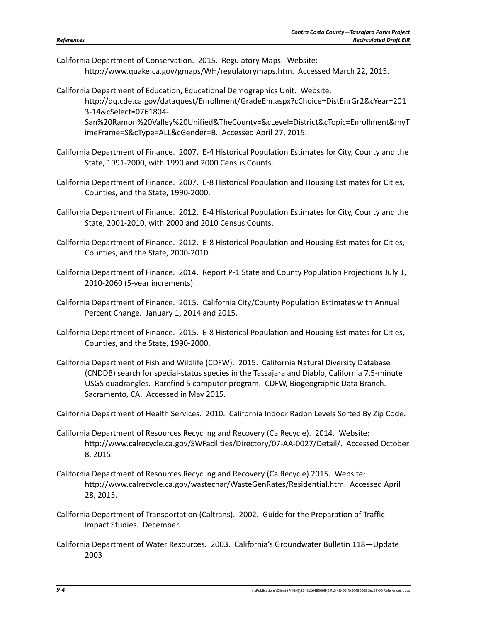California Department of Conservation. 2015. Regulatory Maps. Website: http://www.quake.ca.gov/gmaps/WH/regulatorymaps.htm. Accessed March 22, 2015.

imeFrame=S&cType=ALL&cGender=B. Accessed April 27, 2015.

California Department of Education, Educational Demographics Unit. Website: http://dq.cde.ca.gov/dataquest/Enrollment/GradeEnr.aspx?cChoice=DistEnrGr2&cYear=201 3‐14&cSelect=0761804‐ San%20Ramon%20Valley%20Unified&TheCounty=&cLevel=District&cTopic=Enrollment&myT

California Department of Finance. 2007. E‐4 Historical Population Estimates for City, County and the State, 1991‐2000, with 1990 and 2000 Census Counts.

- California Department of Finance. 2007. E‐8 Historical Population and Housing Estimates for Cities, Counties, and the State, 1990‐2000.
- California Department of Finance. 2012. E‐4 Historical Population Estimates for City, County and the State, 2001‐2010, with 2000 and 2010 Census Counts.
- California Department of Finance. 2012. E‐8 Historical Population and Housing Estimates for Cities, Counties, and the State, 2000‐2010.
- California Department of Finance. 2014. Report P‐1 State and County Population Projections July 1, 2010‐2060 (5‐year increments).
- California Department of Finance. 2015. California City/County Population Estimates with Annual Percent Change. January 1, 2014 and 2015.
- California Department of Finance. 2015. E‐8 Historical Population and Housing Estimates for Cities, Counties, and the State, 1990‐2000.
- California Department of Fish and Wildlife (CDFW). 2015. California Natural Diversity Database (CNDDB) search for special‐status species in the Tassajara and Diablo, California 7.5‐minute USGS quadrangles. Rarefind 5 computer program. CDFW, Biogeographic Data Branch. Sacramento, CA. Accessed in May 2015.

California Department of Health Services. 2010. California Indoor Radon Levels Sorted By Zip Code.

- California Department of Resources Recycling and Recovery (CalRecycle). 2014. Website: http://www.calrecycle.ca.gov/SWFacilities/Directory/07‐AA‐0027/Detail/. Accessed October 8, 2015.
- California Department of Resources Recycling and Recovery (CalRecycle) 2015. Website: http://www.calrecycle.ca.gov/wastechar/WasteGenRates/Residential.htm. Accessed April 28, 2015.
- California Department of Transportation (Caltrans). 2002. Guide for the Preparation of Traffic Impact Studies. December.
- California Department of Water Resources. 2003. California's Groundwater Bulletin 118—Update 2003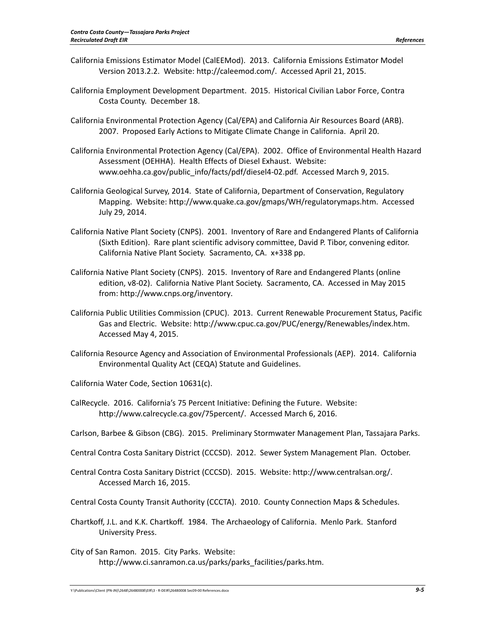- California Emissions Estimator Model (CalEEMod). 2013. California Emissions Estimator Model Version 2013.2.2. Website: http://caleemod.com/. Accessed April 21, 2015.
- California Employment Development Department. 2015. Historical Civilian Labor Force, Contra Costa County. December 18.
- California Environmental Protection Agency (Cal/EPA) and California Air Resources Board (ARB). 2007. Proposed Early Actions to Mitigate Climate Change in California. April 20.
- California Environmental Protection Agency (Cal/EPA). 2002. Office of Environmental Health Hazard Assessment (OEHHA). Health Effects of Diesel Exhaust. Website: www.oehha.ca.gov/public\_info/facts/pdf/diesel4-02.pdf. Accessed March 9, 2015.
- California Geological Survey, 2014. State of California, Department of Conservation, Regulatory Mapping. Website: http://www.quake.ca.gov/gmaps/WH/regulatorymaps.htm. Accessed July 29, 2014.
- California Native Plant Society (CNPS). 2001. Inventory of Rare and Endangered Plants of California (Sixth Edition). Rare plant scientific advisory committee, David P. Tibor, convening editor. California Native Plant Society. Sacramento, CA. x+338 pp.
- California Native Plant Society (CNPS). 2015. Inventory of Rare and Endangered Plants (online edition, v8‐02). California Native Plant Society. Sacramento, CA. Accessed in May 2015 from: http://www.cnps.org/inventory.
- California Public Utilities Commission (CPUC). 2013. Current Renewable Procurement Status, Pacific Gas and Electric. Website: http://www.cpuc.ca.gov/PUC/energy/Renewables/index.htm. Accessed May 4, 2015.
- California Resource Agency and Association of Environmental Professionals (AEP). 2014. California Environmental Quality Act (CEQA) Statute and Guidelines.

California Water Code, Section 10631(c).

- CalRecycle. 2016. California's 75 Percent Initiative: Defining the Future. Website: http://www.calrecycle.ca.gov/75percent/. Accessed March 6, 2016.
- Carlson, Barbee & Gibson (CBG). 2015. Preliminary Stormwater Management Plan, Tassajara Parks.
- Central Contra Costa Sanitary District (CCCSD). 2012. Sewer System Management Plan. October.
- Central Contra Costa Sanitary District (CCCSD). 2015. Website: http://www.centralsan.org/. Accessed March 16, 2015.
- Central Costa County Transit Authority (CCCTA). 2010. County Connection Maps & Schedules.
- Chartkoff, J.L. and K.K. Chartkoff. 1984. The Archaeology of California. Menlo Park. Stanford University Press.
- City of San Ramon. 2015. City Parks. Website: http://www.ci.sanramon.ca.us/parks/parks\_facilities/parks.htm.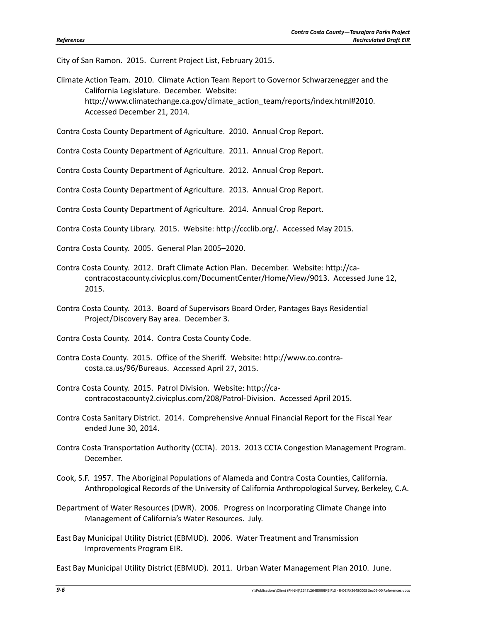City of San Ramon. 2015. Current Project List, February 2015.

Climate Action Team. 2010. Climate Action Team Report to Governor Schwarzenegger and the California Legislature. December. Website: http://www.climatechange.ca.gov/climate\_action\_team/reports/index.html#2010. Accessed December 21, 2014.

Contra Costa County Department of Agriculture. 2010. Annual Crop Report.

Contra Costa County Department of Agriculture. 2011. Annual Crop Report.

Contra Costa County Department of Agriculture. 2012. Annual Crop Report.

Contra Costa County Department of Agriculture. 2013. Annual Crop Report.

Contra Costa County Department of Agriculture. 2014. Annual Crop Report.

Contra Costa County Library. 2015. Website: http://ccclib.org/. Accessed May 2015.

Contra Costa County. 2005. General Plan 2005–2020.

- Contra Costa County. 2012. Draft Climate Action Plan. December. Website: http://ca‐ contracostacounty.civicplus.com/DocumentCenter/Home/View/9013. Accessed June 12, 2015.
- Contra Costa County. 2013. Board of Supervisors Board Order, Pantages Bays Residential Project/Discovery Bay area. December 3.

Contra Costa County. 2014. Contra Costa County Code.

- Contra Costa County. 2015. Office of the Sheriff. Website: http://www.co.contra‐ costa.ca.us/96/Bureaus. Accessed April 27, 2015.
- Contra Costa County. 2015. Patrol Division. Website: http://ca‐ contracostacounty2.civicplus.com/208/Patrol‐Division. Accessed April 2015.
- Contra Costa Sanitary District. 2014. Comprehensive Annual Financial Report for the Fiscal Year ended June 30, 2014.
- Contra Costa Transportation Authority (CCTA). 2013. 2013 CCTA Congestion Management Program. December.
- Cook, S.F. 1957. The Aboriginal Populations of Alameda and Contra Costa Counties, California. Anthropological Records of the University of California Anthropological Survey, Berkeley, C.A.
- Department of Water Resources (DWR). 2006. Progress on Incorporating Climate Change into Management of California's Water Resources. July.
- East Bay Municipal Utility District (EBMUD). 2006. Water Treatment and Transmission Improvements Program EIR.

East Bay Municipal Utility District (EBMUD). 2011. Urban Water Management Plan 2010. June.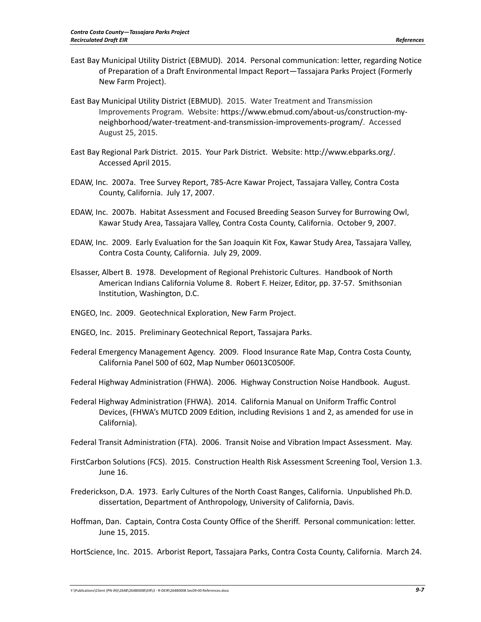- East Bay Municipal Utility District (EBMUD). 2014. Personal communication: letter, regarding Notice of Preparation of a Draft Environmental Impact Report—Tassajara Parks Project (Formerly New Farm Project).
- East Bay Municipal Utility District (EBMUD). 2015. Water Treatment and Transmission Improvements Program. Website: https://www.ebmud.com/about‐us/construction‐my‐ neighborhood/water‐treatment‐and‐transmission‐improvements‐program/. Accessed August 25, 2015.
- East Bay Regional Park District. 2015. Your Park District. Website: http://www.ebparks.org/. Accessed April 2015.
- EDAW, Inc. 2007a. Tree Survey Report, 785‐Acre Kawar Project, Tassajara Valley, Contra Costa County, California. July 17, 2007.
- EDAW, Inc. 2007b. Habitat Assessment and Focused Breeding Season Survey for Burrowing Owl, Kawar Study Area, Tassajara Valley, Contra Costa County, California. October 9, 2007.
- EDAW, Inc. 2009. Early Evaluation for the San Joaquin Kit Fox, Kawar Study Area, Tassajara Valley, Contra Costa County, California. July 29, 2009.
- Elsasser, Albert B. 1978. Development of Regional Prehistoric Cultures. Handbook of North American Indians California Volume 8. Robert F. Heizer, Editor, pp. 37‐57. Smithsonian Institution, Washington, D.C.
- ENGEO, Inc. 2009. Geotechnical Exploration, New Farm Project.
- ENGEO, Inc. 2015. Preliminary Geotechnical Report, Tassajara Parks.
- Federal Emergency Management Agency. 2009. Flood Insurance Rate Map, Contra Costa County, California Panel 500 of 602, Map Number 06013C0500F.
- Federal Highway Administration (FHWA). 2006. Highway Construction Noise Handbook. August.
- Federal Highway Administration (FHWA). 2014. California Manual on Uniform Traffic Control Devices, (FHWA's MUTCD 2009 Edition, including Revisions 1 and 2, as amended for use in California).
- Federal Transit Administration (FTA). 2006. Transit Noise and Vibration Impact Assessment. May.
- FirstCarbon Solutions (FCS). 2015. Construction Health Risk Assessment Screening Tool, Version 1.3. June 16.
- Frederickson, D.A. 1973. Early Cultures of the North Coast Ranges, California. Unpublished Ph.D. dissertation, Department of Anthropology, University of California, Davis.
- Hoffman, Dan. Captain, Contra Costa County Office of the Sheriff. Personal communication: letter. June 15, 2015.

HortScience, Inc. 2015. Arborist Report, Tassajara Parks, Contra Costa County, California. March 24.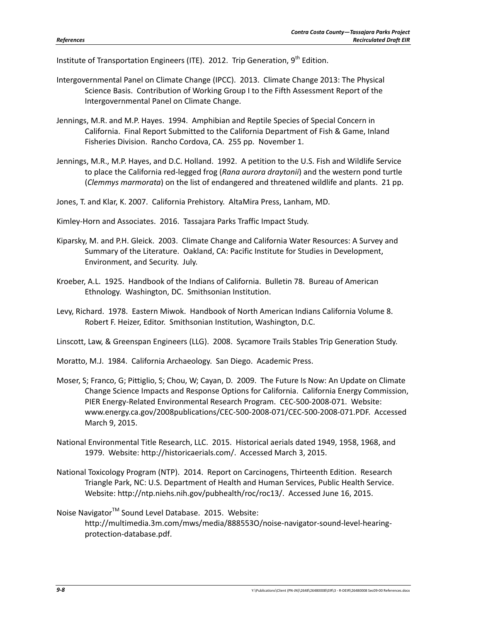Institute of Transportation Engineers (ITE). 2012. Trip Generation, 9<sup>th</sup> Edition.

- Intergovernmental Panel on Climate Change (IPCC). 2013. Climate Change 2013: The Physical Science Basis. Contribution of Working Group I to the Fifth Assessment Report of the Intergovernmental Panel on Climate Change.
- Jennings, M.R. and M.P. Hayes. 1994. Amphibian and Reptile Species of Special Concern in California. Final Report Submitted to the California Department of Fish & Game, Inland Fisheries Division. Rancho Cordova, CA. 255 pp. November 1.
- Jennings, M.R., M.P. Hayes, and D.C. Holland. 1992. A petition to the U.S. Fish and Wildlife Service to place the California red‐legged frog (*Rana aurora draytonii*) and the western pond turtle (*Clemmys marmorata*) on the list of endangered and threatened wildlife and plants. 21 pp.

Jones, T. and Klar, K. 2007. California Prehistory. AltaMira Press, Lanham, MD.

Kimley‐Horn and Associates. 2016. Tassajara Parks Traffic Impact Study.

- Kiparsky, M. and P.H. Gleick. 2003. Climate Change and California Water Resources: A Survey and Summary of the Literature. Oakland, CA: Pacific Institute for Studies in Development, Environment, and Security. July.
- Kroeber, A.L. 1925. Handbook of the Indians of California. Bulletin 78. Bureau of American Ethnology. Washington, DC. Smithsonian Institution.
- Levy, Richard. 1978. Eastern Miwok. Handbook of North American Indians California Volume 8. Robert F. Heizer, Editor. Smithsonian Institution, Washington, D.C.

Linscott, Law, & Greenspan Engineers (LLG). 2008. Sycamore Trails Stables Trip Generation Study.

Moratto, M.J. 1984. California Archaeology. San Diego. Academic Press.

- Moser, S; Franco, G; Pittiglio, S; Chou, W; Cayan, D. 2009. The Future Is Now: An Update on Climate Change Science Impacts and Response Options for California. California Energy Commission, PIER Energy‐Related Environmental Research Program. CEC‐500‐2008‐071. Website: www.energy.ca.gov/2008publications/CEC‐500‐2008‐071/CEC‐500‐2008‐071.PDF. Accessed March 9, 2015.
- National Environmental Title Research, LLC. 2015. Historical aerials dated 1949, 1958, 1968, and 1979. Website: http://historicaerials.com/. Accessed March 3, 2015.
- National Toxicology Program (NTP). 2014. Report on Carcinogens, Thirteenth Edition. Research Triangle Park, NC: U.S. Department of Health and Human Services, Public Health Service. Website: http://ntp.niehs.nih.gov/pubhealth/roc/roc13/. Accessed June 16, 2015.

Noise Navigator<sup>™</sup> Sound Level Database. 2015. Website: http://multimedia.3m.com/mws/media/888553O/noise‐navigator‐sound‐level‐hearing‐ protection‐database.pdf.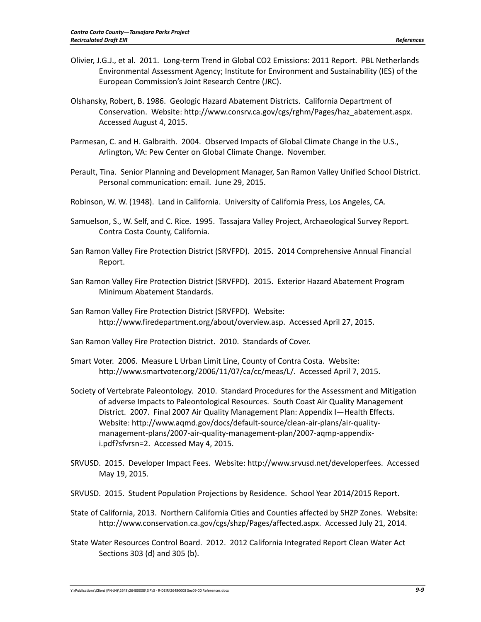- Olivier, J.G.J., et al. 2011. Long‐term Trend in Global CO2 Emissions: 2011 Report. PBL Netherlands Environmental Assessment Agency; Institute for Environment and Sustainability (IES) of the European Commission's Joint Research Centre (JRC).
- Olshansky, Robert, B. 1986. Geologic Hazard Abatement Districts. California Department of Conservation. Website: http://www.consrv.ca.gov/cgs/rghm/Pages/haz\_abatement.aspx. Accessed August 4, 2015.
- Parmesan, C. and H. Galbraith. 2004. Observed Impacts of Global Climate Change in the U.S., Arlington, VA: Pew Center on Global Climate Change. November.
- Perault, Tina. Senior Planning and Development Manager, San Ramon Valley Unified School District. Personal communication: email. June 29, 2015.
- Robinson, W. W. (1948). Land in California. University of California Press, Los Angeles, CA.
- Samuelson, S., W. Self, and C. Rice. 1995. Tassajara Valley Project, Archaeological Survey Report. Contra Costa County, California.
- San Ramon Valley Fire Protection District (SRVFPD). 2015. 2014 Comprehensive Annual Financial Report.
- San Ramon Valley Fire Protection District (SRVFPD). 2015. Exterior Hazard Abatement Program Minimum Abatement Standards.
- San Ramon Valley Fire Protection District (SRVFPD). Website: http://www.firedepartment.org/about/overview.asp. Accessed April 27, 2015.
- San Ramon Valley Fire Protection District. 2010. Standards of Cover.
- Smart Voter. 2006. Measure L Urban Limit Line, County of Contra Costa. Website: http://www.smartvoter.org/2006/11/07/ca/cc/meas/L/. Accessed April 7, 2015.
- Society of Vertebrate Paleontology. 2010. Standard Procedures for the Assessment and Mitigation of adverse Impacts to Paleontological Resources. South Coast Air Quality Management District. 2007. Final 2007 Air Quality Management Plan: Appendix I—Health Effects. Website: http://www.aqmd.gov/docs/default‐source/clean‐air‐plans/air‐quality‐ management‐plans/2007‐air‐quality‐management‐plan/2007‐aqmp‐appendix‐ i.pdf?sfvrsn=2. Accessed May 4, 2015.
- SRVUSD. 2015. Developer Impact Fees. Website: http://www.srvusd.net/developerfees. Accessed May 19, 2015.
- SRVUSD. 2015. Student Population Projections by Residence. School Year 2014/2015 Report.
- State of California, 2013. Northern California Cities and Counties affected by SHZP Zones. Website: http://www.conservation.ca.gov/cgs/shzp/Pages/affected.aspx. Accessed July 21, 2014.
- State Water Resources Control Board. 2012. 2012 California Integrated Report Clean Water Act Sections 303 (d) and 305 (b).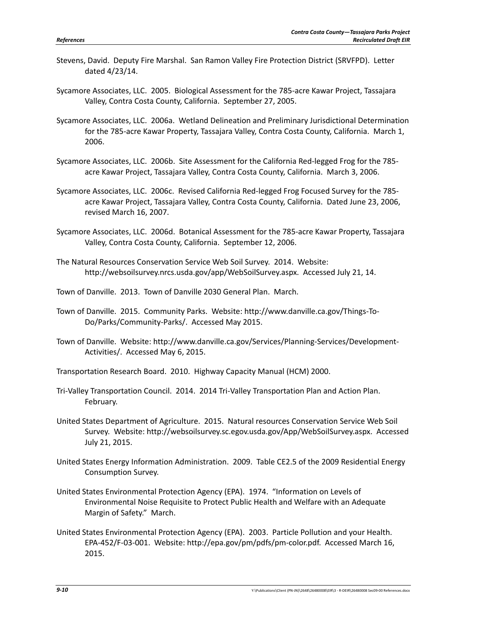- Stevens, David. Deputy Fire Marshal. San Ramon Valley Fire Protection District (SRVFPD). Letter dated 4/23/14.
- Sycamore Associates, LLC. 2005. Biological Assessment for the 785‐acre Kawar Project, Tassajara Valley, Contra Costa County, California. September 27, 2005.
- Sycamore Associates, LLC. 2006a. Wetland Delineation and Preliminary Jurisdictional Determination for the 785‐acre Kawar Property, Tassajara Valley, Contra Costa County, California. March 1, 2006.
- Sycamore Associates, LLC. 2006b. Site Assessment for the California Red‐legged Frog for the 785‐ acre Kawar Project, Tassajara Valley, Contra Costa County, California. March 3, 2006.
- Sycamore Associates, LLC. 2006c. Revised California Red‐legged Frog Focused Survey for the 785‐ acre Kawar Project, Tassajara Valley, Contra Costa County, California. Dated June 23, 2006, revised March 16, 2007.
- Sycamore Associates, LLC. 2006d. Botanical Assessment for the 785‐acre Kawar Property, Tassajara Valley, Contra Costa County, California. September 12, 2006.
- The Natural Resources Conservation Service Web Soil Survey. 2014. Website: http://websoilsurvey.nrcs.usda.gov/app/WebSoilSurvey.aspx. Accessed July 21, 14.
- Town of Danville. 2013. Town of Danville 2030 General Plan. March.
- Town of Danville. 2015. Community Parks. Website: http://www.danville.ca.gov/Things‐To‐ Do/Parks/Community‐Parks/. Accessed May 2015.
- Town of Danville. Website: http://www.danville.ca.gov/Services/Planning‐Services/Development‐ Activities/. Accessed May 6, 2015.
- Transportation Research Board. 2010. Highway Capacity Manual (HCM) 2000.
- Tri‐Valley Transportation Council. 2014. 2014 Tri‐Valley Transportation Plan and Action Plan. February.
- United States Department of Agriculture. 2015. Natural resources Conservation Service Web Soil Survey. Website: http://websoilsurvey.sc.egov.usda.gov/App/WebSoilSurvey.aspx. Accessed July 21, 2015.
- United States Energy Information Administration. 2009. Table CE2.5 of the 2009 Residential Energy Consumption Survey.
- United States Environmental Protection Agency (EPA). 1974. "Information on Levels of Environmental Noise Requisite to Protect Public Health and Welfare with an Adequate Margin of Safety." March.
- United States Environmental Protection Agency (EPA). 2003. Particle Pollution and your Health. EPA‐452/F‐03‐001. Website: http://epa.gov/pm/pdfs/pm‐color.pdf. Accessed March 16, 2015.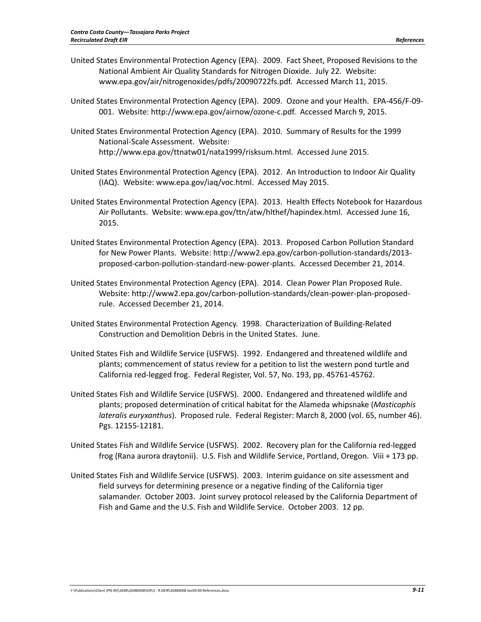- United States Environmental Protection Agency (EPA). 2009. Fact Sheet, Proposed Revisions to the National Ambient Air Quality Standards for Nitrogen Dioxide. July 22. Website: www.epa.gov/air/nitrogenoxides/pdfs/20090722fs.pdf. Accessed March 11, 2015.
- United States Environmental Protection Agency (EPA). 2009. Ozone and your Health. EPA‐456/F‐09‐ 001. Website: http://www.epa.gov/airnow/ozone‐c.pdf. Accessed March 9, 2015.
- United States Environmental Protection Agency (EPA). 2010. Summary of Results for the 1999 National‐Scale Assessment. Website: http://www.epa.gov/ttnatw01/nata1999/risksum.html. Accessed June 2015.
- United States Environmental Protection Agency (EPA). 2012. An Introduction to Indoor Air Quality (IAQ). Website: www.epa.gov/iaq/voc.html. Accessed May 2015.
- United States Environmental Protection Agency (EPA). 2013. Health Effects Notebook for Hazardous Air Pollutants. Website: www.epa.gov/ttn/atw/hlthef/hapindex.html. Accessed June 16, 2015.
- United States Environmental Protection Agency (EPA). 2013. Proposed Carbon Pollution Standard for New Power Plants. Website: http://www2.epa.gov/carbon‐pollution‐standards/2013‐ proposed‐carbon‐pollution‐standard‐new‐power‐plants. Accessed December 21, 2014.
- United States Environmental Protection Agency (EPA). 2014. Clean Power Plan Proposed Rule. Website: http://www2.epa.gov/carbon‐pollution‐standards/clean‐power‐plan‐proposed‐ rule. Accessed December 21, 2014.
- United States Environmental Protection Agency. 1998. Characterization of Building‐Related Construction and Demolition Debris in the United States. June.
- United States Fish and Wildlife Service (USFWS). 1992. Endangered and threatened wildlife and plants; commencement of status review for a petition to list the western pond turtle and California red‐legged frog. Federal Register, Vol. 57, No. 193, pp. 45761‐45762.
- United States Fish and Wildlife Service (USFWS). 2000. Endangered and threatened wildlife and plants; proposed determination of critical habitat for the Alameda whipsnake (*Masticophis lateralis euryxanthus*). Proposed rule. Federal Register: March 8, 2000 (vol. 65, number 46). Pgs. 12155‐12181.
- United States Fish and Wildlife Service (USFWS). 2002. Recovery plan for the California red‐legged frog (Rana aurora draytonii). U.S. Fish and Wildlife Service, Portland, Oregon. Viii + 173 pp.
- United States Fish and Wildlife Service (USFWS). 2003. Interim guidance on site assessment and field surveys for determining presence or a negative finding of the California tiger salamander. October 2003. Joint survey protocol released by the California Department of Fish and Game and the U.S. Fish and Wildlife Service. October 2003. 12 pp.